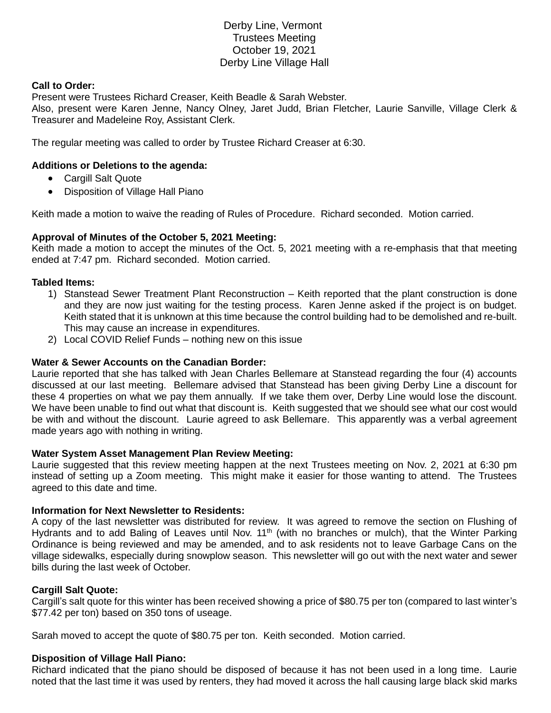# Derby Line, Vermont Trustees Meeting October 19, 2021 Derby Line Village Hall

## **Call to Order:**

Present were Trustees Richard Creaser, Keith Beadle & Sarah Webster. Also, present were Karen Jenne, Nancy Olney, Jaret Judd, Brian Fletcher, Laurie Sanville, Village Clerk & Treasurer and Madeleine Roy, Assistant Clerk.

The regular meeting was called to order by Trustee Richard Creaser at 6:30.

# **Additions or Deletions to the agenda:**

- Cargill Salt Quote
- Disposition of Village Hall Piano

Keith made a motion to waive the reading of Rules of Procedure. Richard seconded. Motion carried.

# **Approval of Minutes of the October 5, 2021 Meeting:**

Keith made a motion to accept the minutes of the Oct. 5, 2021 meeting with a re-emphasis that that meeting ended at 7:47 pm. Richard seconded. Motion carried.

# **Tabled Items:**

- 1) Stanstead Sewer Treatment Plant Reconstruction Keith reported that the plant construction is done and they are now just waiting for the testing process. Karen Jenne asked if the project is on budget. Keith stated that it is unknown at this time because the control building had to be demolished and re-built. This may cause an increase in expenditures.
- 2) Local COVID Relief Funds nothing new on this issue

#### **Water & Sewer Accounts on the Canadian Border:**

Laurie reported that she has talked with Jean Charles Bellemare at Stanstead regarding the four (4) accounts discussed at our last meeting. Bellemare advised that Stanstead has been giving Derby Line a discount for these 4 properties on what we pay them annually. If we take them over, Derby Line would lose the discount. We have been unable to find out what that discount is. Keith suggested that we should see what our cost would be with and without the discount. Laurie agreed to ask Bellemare. This apparently was a verbal agreement made years ago with nothing in writing.

#### **Water System Asset Management Plan Review Meeting:**

Laurie suggested that this review meeting happen at the next Trustees meeting on Nov. 2, 2021 at 6:30 pm instead of setting up a Zoom meeting. This might make it easier for those wanting to attend. The Trustees agreed to this date and time.

#### **Information for Next Newsletter to Residents:**

A copy of the last newsletter was distributed for review. It was agreed to remove the section on Flushing of Hydrants and to add Baling of Leaves until Nov. 11<sup>th</sup> (with no branches or mulch), that the Winter Parking Ordinance is being reviewed and may be amended, and to ask residents not to leave Garbage Cans on the village sidewalks, especially during snowplow season. This newsletter will go out with the next water and sewer bills during the last week of October.

#### **Cargill Salt Quote:**

Cargill's salt quote for this winter has been received showing a price of \$80.75 per ton (compared to last winter's \$77.42 per ton) based on 350 tons of useage.

Sarah moved to accept the quote of \$80.75 per ton. Keith seconded. Motion carried.

#### **Disposition of Village Hall Piano:**

Richard indicated that the piano should be disposed of because it has not been used in a long time. Laurie noted that the last time it was used by renters, they had moved it across the hall causing large black skid marks